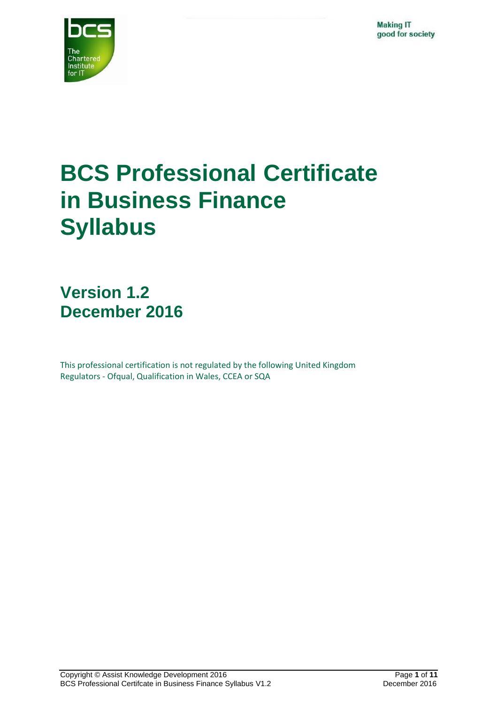

# **BCS Professional Certificate in Business Finance Syllabus**

**Version 1.2 December 2016**

This professional certification is not regulated by the following United Kingdom Regulators - Ofqual, Qualification in Wales, CCEA or SQA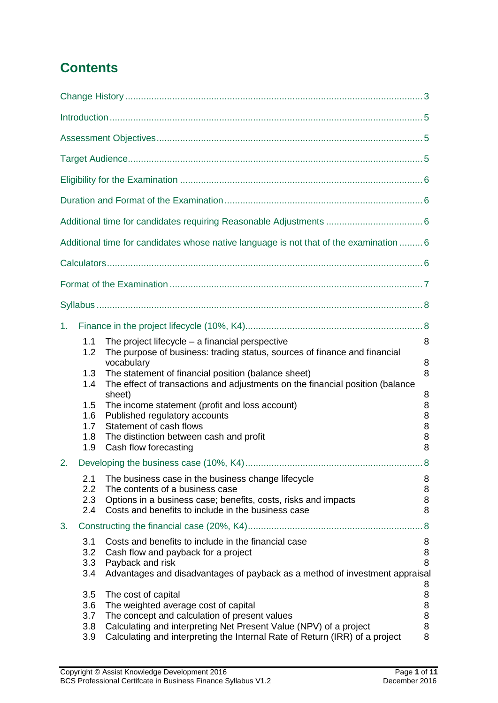# **Contents**

|    |                                 | Additional time for candidates whose native language is not that of the examination  6                                                                                                                                                                           |                            |
|----|---------------------------------|------------------------------------------------------------------------------------------------------------------------------------------------------------------------------------------------------------------------------------------------------------------|----------------------------|
|    |                                 |                                                                                                                                                                                                                                                                  |                            |
|    |                                 |                                                                                                                                                                                                                                                                  |                            |
|    |                                 |                                                                                                                                                                                                                                                                  |                            |
| 1. |                                 |                                                                                                                                                                                                                                                                  |                            |
|    | 1.1<br>1.2                      | The project lifecycle $-$ a financial perspective<br>The purpose of business: trading status, sources of finance and financial                                                                                                                                   | 8                          |
|    | 1.3<br>1.4                      | vocabulary<br>The statement of financial position (balance sheet)<br>The effect of transactions and adjustments on the financial position (balance                                                                                                               | 8<br>8                     |
|    | 1.5<br>1.6<br>1.7<br>1.8<br>1.9 | sheet)<br>The income statement (profit and loss account)<br>Published regulatory accounts<br>Statement of cash flows<br>The distinction between cash and profit<br>Cash flow forecasting                                                                         | 8<br>8<br>8<br>8<br>8<br>8 |
|    |                                 |                                                                                                                                                                                                                                                                  | .8                         |
|    | 2.1<br>2.2<br>2.3<br>2.4        | The business case in the business change lifecycle<br>The contents of a business case<br>Options in a business case; benefits, costs, risks and impacts<br>Costs and benefits to include in the business case                                                    | 8<br>8<br>8<br>8           |
| 3. |                                 |                                                                                                                                                                                                                                                                  | .8                         |
|    | 3.1<br>3.2<br>3.3<br>3.4        | Costs and benefits to include in the financial case<br>Cash flow and payback for a project<br>Payback and risk<br>Advantages and disadvantages of payback as a method of investment appraisal                                                                    | 8<br>8<br>8                |
|    | 3.5<br>3.6<br>3.7<br>3.8<br>3.9 | The cost of capital<br>The weighted average cost of capital<br>The concept and calculation of present values<br>Calculating and interpreting Net Present Value (NPV) of a project<br>Calculating and interpreting the Internal Rate of Return (IRR) of a project | 8<br>8<br>8<br>8<br>8<br>8 |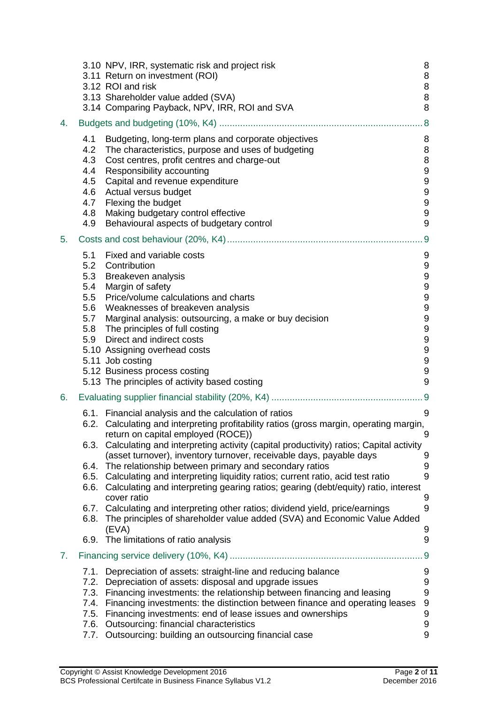|    | 3.10 NPV, IRR, systematic risk and project risk<br>3.11 Return on investment (ROI)<br>3.12 ROI and risk<br>3.13 Shareholder value added (SVA)<br>3.14 Comparing Payback, NPV, IRR, ROI and SVA                                                                                                                                                                                                                                                                                                                                                                                                                                                                                                                                                                                                                                                                 | 8<br>$\, 8$<br>$\boldsymbol{8}$<br>8<br>8                                                                  |
|----|----------------------------------------------------------------------------------------------------------------------------------------------------------------------------------------------------------------------------------------------------------------------------------------------------------------------------------------------------------------------------------------------------------------------------------------------------------------------------------------------------------------------------------------------------------------------------------------------------------------------------------------------------------------------------------------------------------------------------------------------------------------------------------------------------------------------------------------------------------------|------------------------------------------------------------------------------------------------------------|
| 4. |                                                                                                                                                                                                                                                                                                                                                                                                                                                                                                                                                                                                                                                                                                                                                                                                                                                                | .8                                                                                                         |
|    | Budgeting, long-term plans and corporate objectives<br>4.1<br>4.2<br>The characteristics, purpose and uses of budgeting<br>Cost centres, profit centres and charge-out<br>4.3<br>Responsibility accounting<br>4.4<br>Capital and revenue expenditure<br>4.5<br>Actual versus budget<br>4.6<br>Flexing the budget<br>4.7<br>Making budgetary control effective<br>4.8<br>Behavioural aspects of budgetary control<br>4.9                                                                                                                                                                                                                                                                                                                                                                                                                                        | 8<br>8<br>8<br>$\boldsymbol{9}$<br>$\overline{9}$<br>9<br>9<br>$\overline{9}$<br>9                         |
| 5. |                                                                                                                                                                                                                                                                                                                                                                                                                                                                                                                                                                                                                                                                                                                                                                                                                                                                | 9                                                                                                          |
|    | 5.1<br>Fixed and variable costs<br>5.2<br>Contribution<br>5.3<br>Breakeven analysis<br>Margin of safety<br>5.4<br>Price/volume calculations and charts<br>5.5<br>Weaknesses of breakeven analysis<br>5.6<br>5.7<br>Marginal analysis: outsourcing, a make or buy decision<br>5.8 The principles of full costing<br>Direct and indirect costs<br>5.9<br>5.10 Assigning overhead costs<br>5.11 Job costing<br>5.12 Business process costing<br>5.13 The principles of activity based costing                                                                                                                                                                                                                                                                                                                                                                     | 9<br>$\boldsymbol{9}$<br>9<br>9<br>9<br>9<br>9<br>9<br>$\boldsymbol{9}$<br>$\boldsymbol{9}$<br>9<br>9<br>9 |
| 6. |                                                                                                                                                                                                                                                                                                                                                                                                                                                                                                                                                                                                                                                                                                                                                                                                                                                                |                                                                                                            |
|    | 6.1. Financial analysis and the calculation of ratios<br>6.2. Calculating and interpreting profitability ratios (gross margin, operating margin,<br>return on capital employed (ROCE))<br>Calculating and interpreting activity (capital productivity) ratios; Capital activity<br>6.3.<br>(asset turnover), inventory turnover, receivable days, payable days<br>The relationship between primary and secondary ratios<br>6.4.<br>Calculating and interpreting liquidity ratios; current ratio, acid test ratio<br>6.5.<br>Calculating and interpreting gearing ratios; gearing (debt/equity) ratio, interest<br>6.6.<br>cover ratio<br>6.7. Calculating and interpreting other ratios; dividend yield, price/earnings<br>6.8. The principles of shareholder value added (SVA) and Economic Value Added<br>(EVA)<br>The limitations of ratio analysis<br>6.9. | 9<br>- 9<br>9<br>9<br>9<br>9<br>9<br>9<br>9                                                                |
| 7. |                                                                                                                                                                                                                                                                                                                                                                                                                                                                                                                                                                                                                                                                                                                                                                                                                                                                | 9                                                                                                          |
|    | Depreciation of assets: straight-line and reducing balance<br>7.1.<br>Depreciation of assets: disposal and upgrade issues<br>7.2.<br>Financing investments: the relationship between financing and leasing<br>7.3.<br>Financing investments: the distinction between finance and operating leases<br>7.4.<br>Financing investments: end of lease issues and ownerships<br>7.5.<br>Outsourcing: financial characteristics<br>7.6.<br>Outsourcing: building an outsourcing financial case<br>7.7.                                                                                                                                                                                                                                                                                                                                                                | 9<br>9<br>$\boldsymbol{9}$<br>$\overline{9}$<br>9<br>$\overline{9}$<br>9                                   |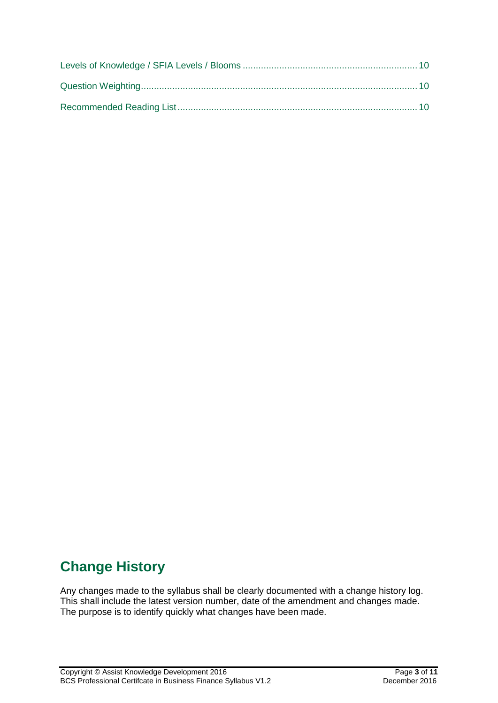### <span id="page-3-0"></span>**Change History**

Any changes made to the syllabus shall be clearly documented with a change history log. This shall include the latest version number, date of the amendment and changes made. The purpose is to identify quickly what changes have been made.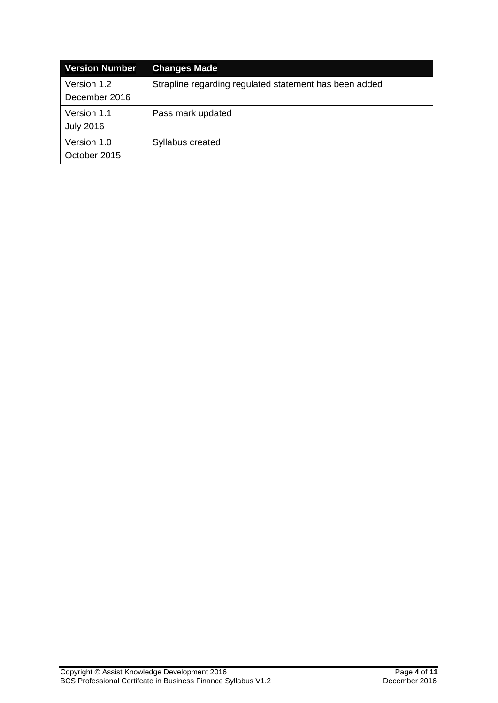| <b>Version Number</b>           | <b>Changes Made</b>                                    |
|---------------------------------|--------------------------------------------------------|
| Version 1.2<br>December 2016    | Strapline regarding regulated statement has been added |
| Version 1.1<br><b>July 2016</b> | Pass mark updated                                      |
| Version 1.0<br>October 2015     | Syllabus created                                       |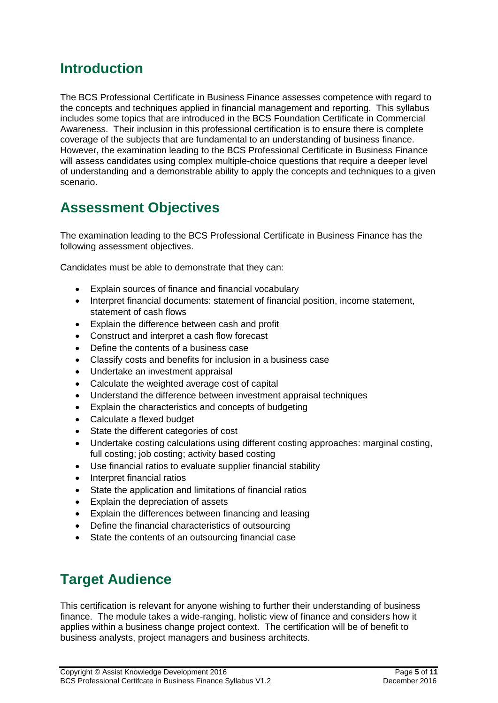### <span id="page-5-0"></span>**Introduction**

The BCS Professional Certificate in Business Finance assesses competence with regard to the concepts and techniques applied in financial management and reporting. This syllabus includes some topics that are introduced in the BCS Foundation Certificate in Commercial Awareness. Their inclusion in this professional certification is to ensure there is complete coverage of the subjects that are fundamental to an understanding of business finance. However, the examination leading to the BCS Professional Certificate in Business Finance will assess candidates using complex multiple-choice questions that require a deeper level of understanding and a demonstrable ability to apply the concepts and techniques to a given scenario.

### <span id="page-5-1"></span>**Assessment Objectives**

The examination leading to the BCS Professional Certificate in Business Finance has the following assessment objectives.

Candidates must be able to demonstrate that they can:

- Explain sources of finance and financial vocabulary
- Interpret financial documents: statement of financial position, income statement, statement of cash flows
- Explain the difference between cash and profit
- Construct and interpret a cash flow forecast
- Define the contents of a business case
- Classify costs and benefits for inclusion in a business case
- Undertake an investment appraisal
- Calculate the weighted average cost of capital
- Understand the difference between investment appraisal techniques
- Explain the characteristics and concepts of budgeting
- Calculate a flexed budget
- State the different categories of cost
- Undertake costing calculations using different costing approaches: marginal costing, full costing; job costing; activity based costing
- Use financial ratios to evaluate supplier financial stability
- Interpret financial ratios
- State the application and limitations of financial ratios
- Explain the depreciation of assets
- Explain the differences between financing and leasing
- Define the financial characteristics of outsourcing
- State the contents of an outsourcing financial case

### <span id="page-5-2"></span>**Target Audience**

This certification is relevant for anyone wishing to further their understanding of business finance. The module takes a wide-ranging, holistic view of finance and considers how it applies within a business change project context. The certification will be of benefit to business analysts, project managers and business architects.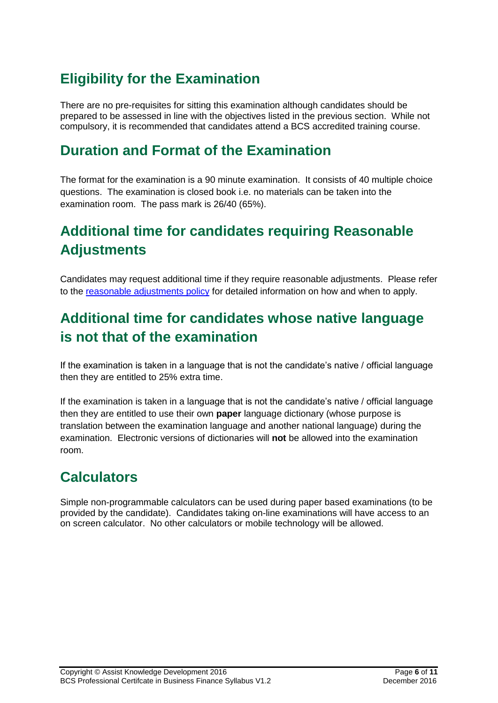# <span id="page-6-0"></span>**Eligibility for the Examination**

There are no pre-requisites for sitting this examination although candidates should be prepared to be assessed in line with the objectives listed in the previous section. While not compulsory, it is recommended that candidates attend a BCS accredited training course.

### <span id="page-6-1"></span>**Duration and Format of the Examination**

The format for the examination is a 90 minute examination. It consists of 40 multiple choice questions. The examination is closed book i.e. no materials can be taken into the examination room. The pass mark is 26/40 (65%).

# <span id="page-6-2"></span>**Additional time for candidates requiring Reasonable Adjustments**

Candidates may request additional time if they require reasonable adjustments. Please refer to the [reasonable adjustments policy](file://///bcsfile01/UDrive/PDS/Client%20Services/Policy%20&%20Compliance/QMS/Master%20Policies/PDS%20Pol%2001%20V6.0%20(Approved)%20Reasonable%20Adjustments%20Policy.doc) for detailed information on how and when to apply.

# <span id="page-6-3"></span>**Additional time for candidates whose native language is not that of the examination**

If the examination is taken in a language that is not the candidate's native / official language then they are entitled to 25% extra time.

If the examination is taken in a language that is not the candidate's native / official language then they are entitled to use their own **paper** language dictionary (whose purpose is translation between the examination language and another national language) during the examination. Electronic versions of dictionaries will **not** be allowed into the examination room.

# <span id="page-6-4"></span>**Calculators**

Simple non-programmable calculators can be used during paper based examinations (to be provided by the candidate). Candidates taking on-line examinations will have access to an on screen calculator. No other calculators or mobile technology will be allowed.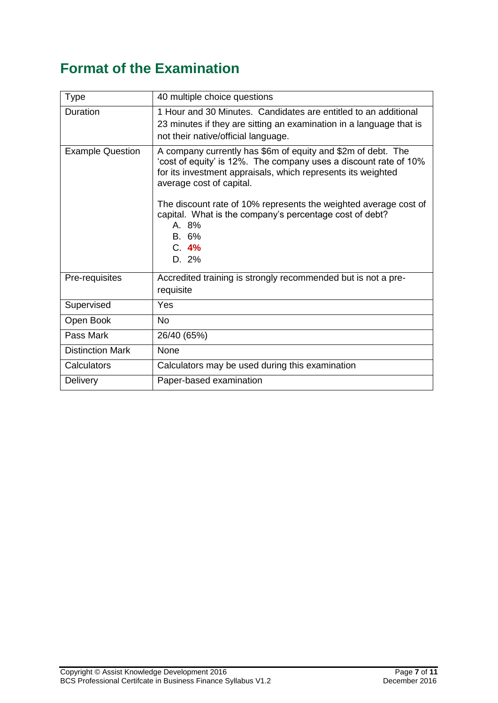# <span id="page-7-0"></span>**Format of the Examination**

| <b>Type</b>             | 40 multiple choice questions                                                                                                                                                                                                                                                                                                                                                                   |
|-------------------------|------------------------------------------------------------------------------------------------------------------------------------------------------------------------------------------------------------------------------------------------------------------------------------------------------------------------------------------------------------------------------------------------|
| Duration                | 1 Hour and 30 Minutes. Candidates are entitled to an additional<br>23 minutes if they are sitting an examination in a language that is<br>not their native/official language.                                                                                                                                                                                                                  |
| <b>Example Question</b> | A company currently has \$6m of equity and \$2m of debt. The<br>'cost of equity' is 12%. The company uses a discount rate of 10%<br>for its investment appraisals, which represents its weighted<br>average cost of capital.<br>The discount rate of 10% represents the weighted average cost of<br>capital. What is the company's percentage cost of debt?<br>A. 8%<br>B. 6%<br>C.4%<br>D. 2% |
| Pre-requisites          | Accredited training is strongly recommended but is not a pre-                                                                                                                                                                                                                                                                                                                                  |
|                         | requisite                                                                                                                                                                                                                                                                                                                                                                                      |
| Supervised              | Yes                                                                                                                                                                                                                                                                                                                                                                                            |
| Open Book               | <b>No</b>                                                                                                                                                                                                                                                                                                                                                                                      |
| Pass Mark               | 26/40 (65%)                                                                                                                                                                                                                                                                                                                                                                                    |
| <b>Distinction Mark</b> | None                                                                                                                                                                                                                                                                                                                                                                                           |
| Calculators             | Calculators may be used during this examination                                                                                                                                                                                                                                                                                                                                                |
| Delivery                | Paper-based examination                                                                                                                                                                                                                                                                                                                                                                        |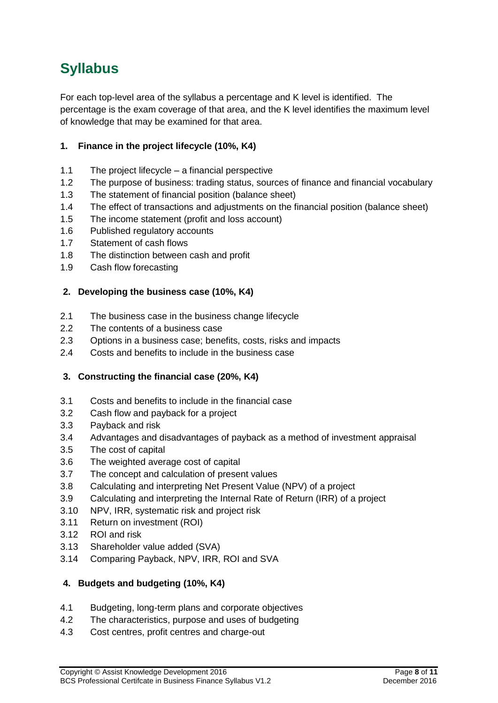# <span id="page-8-0"></span>**Syllabus**

For each top-level area of the syllabus a percentage and K level is identified. The percentage is the exam coverage of that area, and the K level identifies the maximum level of knowledge that may be examined for that area.

### <span id="page-8-1"></span>**1. Finance in the project lifecycle (10%, K4)**

- <span id="page-8-2"></span>1.1 The project lifecycle – a financial perspective
- <span id="page-8-3"></span>1.2 The purpose of business: trading status, sources of finance and financial vocabulary
- <span id="page-8-4"></span>1.3 The statement of financial position (balance sheet)
- <span id="page-8-5"></span>1.4 The effect of transactions and adjustments on the financial position (balance sheet)
- <span id="page-8-6"></span>1.5 The income statement (profit and loss account)
- <span id="page-8-7"></span>1.6 Published regulatory accounts
- <span id="page-8-8"></span>1.7 Statement of cash flows
- <span id="page-8-9"></span>1.8 The distinction between cash and profit
- <span id="page-8-10"></span>1.9 Cash flow forecasting

#### <span id="page-8-11"></span>**2. Developing the business case (10%, K4)**

- <span id="page-8-12"></span>2.1 The business case in the business change lifecycle
- <span id="page-8-13"></span>2.2 The contents of a business case
- <span id="page-8-14"></span>2.3 Options in a business case; benefits, costs, risks and impacts
- <span id="page-8-15"></span>2.4 Costs and benefits to include in the business case

#### <span id="page-8-16"></span>**3. Constructing the financial case (20%, K4)**

- <span id="page-8-17"></span>3.1 Costs and benefits to include in the financial case
- <span id="page-8-18"></span>3.2 Cash flow and payback for a project
- <span id="page-8-19"></span>3.3 Payback and risk
- <span id="page-8-20"></span>3.4 Advantages and disadvantages of payback as a method of investment appraisal
- <span id="page-8-21"></span>3.5 The cost of capital
- <span id="page-8-22"></span>3.6 The weighted average cost of capital
- <span id="page-8-23"></span>3.7 The concept and calculation of present values
- <span id="page-8-24"></span>3.8 Calculating and interpreting Net Present Value (NPV) of a project
- <span id="page-8-25"></span>3.9 Calculating and interpreting the Internal Rate of Return (IRR) of a project
- <span id="page-8-26"></span>3.10 NPV, IRR, systematic risk and project risk
- <span id="page-8-27"></span>3.11 Return on investment (ROI)
- <span id="page-8-28"></span>3.12 ROI and risk
- <span id="page-8-29"></span>3.13 Shareholder value added (SVA)
- <span id="page-8-30"></span>3.14 Comparing Payback, NPV, IRR, ROI and SVA

#### <span id="page-8-31"></span>**4. Budgets and budgeting (10%, K4)**

- <span id="page-8-32"></span>4.1 Budgeting, long-term plans and corporate objectives
- <span id="page-8-33"></span>4.2 The characteristics, purpose and uses of budgeting
- <span id="page-8-34"></span>4.3 Cost centres, profit centres and charge-out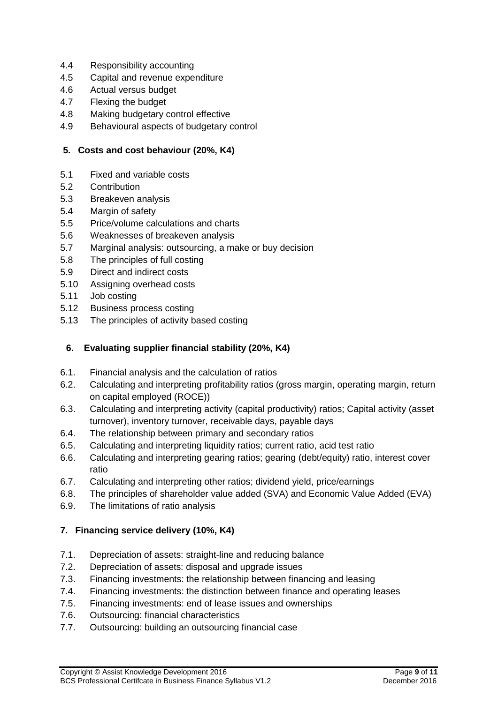- <span id="page-9-0"></span>4.4 Responsibility accounting
- <span id="page-9-1"></span>4.5 Capital and revenue expenditure
- <span id="page-9-2"></span>4.6 Actual versus budget
- <span id="page-9-3"></span>4.7 Flexing the budget
- <span id="page-9-4"></span>4.8 Making budgetary control effective
- <span id="page-9-5"></span>4.9 Behavioural aspects of budgetary control

#### <span id="page-9-6"></span>**5. Costs and cost behaviour (20%, K4)**

- <span id="page-9-7"></span>5.1 Fixed and variable costs
- <span id="page-9-8"></span>5.2 Contribution
- <span id="page-9-9"></span>5.3 Breakeven analysis
- <span id="page-9-10"></span>5.4 Margin of safety
- <span id="page-9-11"></span>5.5 Price/volume calculations and charts
- <span id="page-9-12"></span>5.6 Weaknesses of breakeven analysis
- <span id="page-9-13"></span>5.7 Marginal analysis: outsourcing, a make or buy decision
- <span id="page-9-14"></span>5.8 The principles of full costing
- <span id="page-9-15"></span>5.9 Direct and indirect costs
- <span id="page-9-16"></span>5.10 Assigning overhead costs
- <span id="page-9-17"></span>5.11 Job costing
- <span id="page-9-18"></span>5.12 Business process costing
- <span id="page-9-19"></span>5.13 The principles of activity based costing

#### <span id="page-9-20"></span>**6. Evaluating supplier financial stability (20%, K4)**

- <span id="page-9-21"></span>6.1. Financial analysis and the calculation of ratios
- <span id="page-9-22"></span>6.2. Calculating and interpreting profitability ratios (gross margin, operating margin, return on capital employed (ROCE))
- <span id="page-9-23"></span>6.3. Calculating and interpreting activity (capital productivity) ratios; Capital activity (asset turnover), inventory turnover, receivable days, payable days
- <span id="page-9-24"></span>6.4. The relationship between primary and secondary ratios
- <span id="page-9-25"></span>6.5. Calculating and interpreting liquidity ratios; current ratio, acid test ratio
- <span id="page-9-26"></span>6.6. Calculating and interpreting gearing ratios; gearing (debt/equity) ratio, interest cover ratio
- <span id="page-9-27"></span>6.7. Calculating and interpreting other ratios; dividend yield, price/earnings
- <span id="page-9-28"></span>6.8. The principles of shareholder value added (SVA) and Economic Value Added (EVA)
- <span id="page-9-29"></span>6.9. The limitations of ratio analysis

#### <span id="page-9-30"></span>**7. Financing service delivery (10%, K4)**

- <span id="page-9-31"></span>7.1. Depreciation of assets: straight-line and reducing balance
- <span id="page-9-32"></span>7.2. Depreciation of assets: disposal and upgrade issues
- <span id="page-9-33"></span>7.3. Financing investments: the relationship between financing and leasing
- <span id="page-9-34"></span>7.4. Financing investments: the distinction between finance and operating leases
- <span id="page-9-35"></span>7.5. Financing investments: end of lease issues and ownerships
- <span id="page-9-36"></span>7.6. Outsourcing: financial characteristics
- <span id="page-9-37"></span>7.7. Outsourcing: building an outsourcing financial case